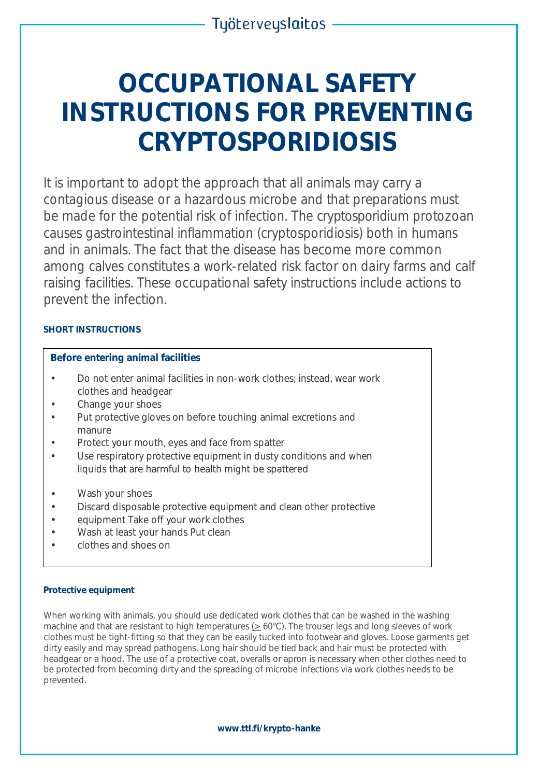# **OCCUPATIONAL SAFETY INSTRUCTIONS FOR PREVENTING CRYPTOSPORIDIOSIS**

It is important to adopt the approach that all animals may carry a contagious disease or a hazardous microbe and that preparations must be made for the potential risk of infection. The *cryptosporidium* protozoan causes gastrointestinal inflammation (cryptosporidiosis) both in humans and in animals. The fact that the disease has become more common among calves constitutes a work-related risk factor on dairy farms and calf raising facilities. These occupational safety instructions include actions to prevent the infection.

# **SHORT INSTRUCTIONS**

## **Before entering animal facilities**

- Do not enter animal facilities in non-work clothes; instead, wear work clothes and headgear
- Change your shoes
- Put protective gloves on before touching animal excretions and manure
- Protect your mouth, eyes and face from spatter
- Use respiratory protective equipment in dusty conditions and when liquids that are harmful to health might be spattered
- Wash your shoes
- Discard disposable protective equipment and clean other protective
- equipment Take off your work clothes
- Wash at least your hands Put clean
- clothes and shoes on

## **Protective equipment**

When working with animals, you should use dedicated work clothes that can be washed in the washing machine and that are resistant to high temperatures  $( \geq 60^{\circ} \text{C})$ . The trouser legs and long sleeves of work clothes must be tight-fitting so that they can be easily tucked into footwear and gloves. Loose garments get dirty easily and may spread pathogens. Long hair should be tied back and hair must be protected with headgear or a hood. The use of a protective coat, overalls or apron is necessary when other clothes need to be protected from becoming dirty and the spreading of microbe infections via work clothes needs to be prevented.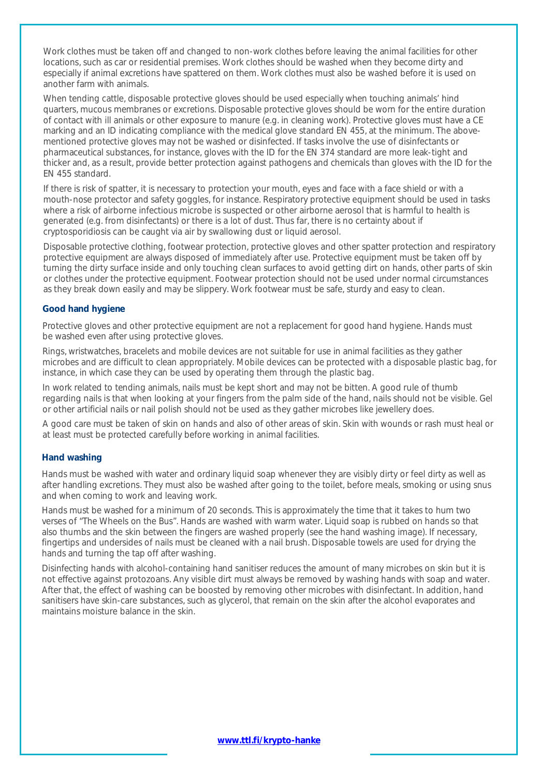Work clothes must be taken off and changed to non-work clothes before leaving the animal facilities for other locations, such as car or residential premises. Work clothes should be washed when they become dirty and especially if animal excretions have spattered on them. Work clothes must also be washed before it is used on another farm with animals.

When tending cattle, disposable protective gloves should be used especially when touching animals' hind quarters, mucous membranes or excretions. Disposable protective gloves should be worn for the entire duration of contact with ill animals or other exposure to manure (e.g. in cleaning work). Protective gloves must have a CE marking and an ID indicating compliance with the medical glove standard EN 455, at the minimum. The abovementioned protective gloves may not be washed or disinfected. If tasks involve the use of disinfectants or pharmaceutical substances, for instance, gloves with the ID for the EN 374 standard are more leak-tight and thicker and, as a result, provide better protection against pathogens and chemicals than gloves with the ID for the EN 455 standard.

If there is risk of spatter, it is necessary to protection your mouth, eyes and face with a face shield or with a mouth-nose protector and safety goggles, for instance. Respiratory protective equipment should be used in tasks where a risk of airborne infectious microbe is suspected or other airborne aerosol that is harmful to health is generated (e.g. from disinfectants) or there is a lot of dust. Thus far, there is no certainty about if cryptosporidiosis can be caught via air by swallowing dust or liquid aerosol.

Disposable protective clothing, footwear protection, protective gloves and other spatter protection and respiratory protective equipment are always disposed of immediately after use. Protective equipment must be taken off by turning the dirty surface inside and only touching clean surfaces to avoid getting dirt on hands, other parts of skin or clothes under the protective equipment. Footwear protection should not be used under normal circumstances as they break down easily and may be slippery. Work footwear must be safe, sturdy and easy to clean.

#### **Good hand hygiene**

Protective gloves and other protective equipment are not a replacement for good hand hygiene. Hands must be washed even after using protective gloves.

Rings, wristwatches, bracelets and mobile devices are not suitable for use in animal facilities as they gather microbes and are difficult to clean appropriately. Mobile devices can be protected with a disposable plastic bag, for instance, in which case they can be used by operating them through the plastic bag.

In work related to tending animals, nails must be kept short and may not be bitten. A good rule of thumb regarding nails is that when looking at your fingers from the palm side of the hand, nails should not be visible. Gel or other artificial nails or nail polish should not be used as they gather microbes like jewellery does.

A good care must be taken of skin on hands and also of other areas of skin. Skin with wounds or rash must heal or at least must be protected carefully before working in animal facilities.

## **Hand washing**

Hands must be washed with water and ordinary liquid soap whenever they are visibly dirty or feel dirty as well as after handling excretions. They must also be washed after going to the toilet, before meals, smoking or using snus and when coming to work and leaving work.

Hands must be washed for a minimum of 20 seconds. This is approximately the time that it takes to hum two verses of "The Wheels on the Bus". Hands are washed with warm water. Liquid soap is rubbed on hands so that also thumbs and the skin between the fingers are washed properly (see the hand washing image). If necessary, fingertips and undersides of nails must be cleaned with a nail brush. Disposable towels are used for drying the hands and turning the tap off after washing.

Disinfecting hands with alcohol-containing hand sanitiser reduces the amount of many microbes on skin but it is not effective against protozoans. Any visible dirt must always be removed by washing hands with soap and water. After that, the effect of washing can be boosted by removing other microbes with disinfectant. In addition, hand sanitisers have skin-care substances, such as glycerol, that remain on the skin after the alcohol evaporates and maintains moisture balance in the skin.